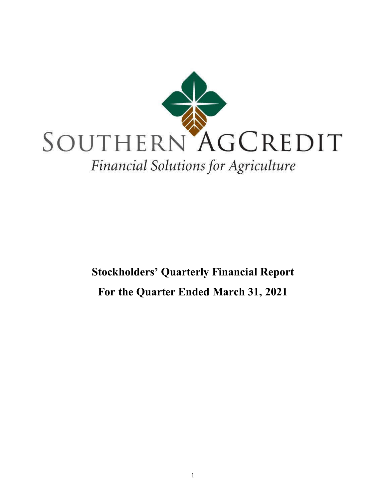

# Stockholders' **Quarterly Financial Report For the Quarter Ended March 31, 2021**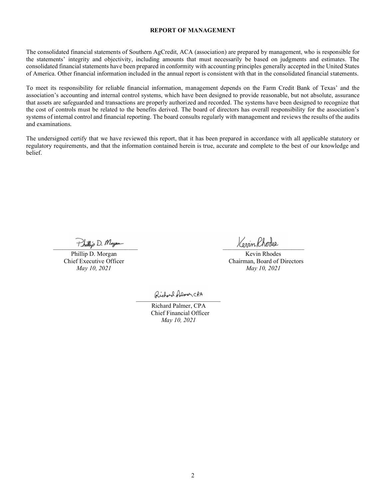#### **REPORT OF MANAGEMENT**

The consolidated financial statements of Southern AgCredit, ACA (association) are prepared by management, who is responsible for the statements' integrity and objectivity, including amounts that must necessarily be based on judgments and estimates. The consolidated financial statements have been prepared in conformity with accounting principles generally accepted in the United States of America. Other financial information included in the annual report is consistent with that in the consolidated financial statements.

To meet its responsibility for reliable financial information, management depends on the Farm Credit Bank of Texas' and the association's accounting and internal control systems, which have been designed to provide reasonable, but not absolute, assurance that assets are safeguarded and transactions are properly authorized and recorded. The systems have been designed to recognize that the cost of controls must be related to the benefits derived. The board of directors has overall responsibility for the association's systems of internal control and financial reporting. The board consults regularly with management and reviews the results of the audits and examinations.

The undersigned certify that we have reviewed this report, that it has been prepared in accordance with all applicable statutory or regulatory requirements, and that the information contained herein is true, accurate and complete to the best of our knowledge and belief.

 $\frac{1}{2}$   $\frac{1}{2}$   $\frac{1}{2}$   $\frac{1}{2}$   $\frac{1}{2}$   $\frac{1}{2}$   $\frac{1}{2}$   $\frac{1}{2}$   $\frac{1}{2}$   $\frac{1}{2}$   $\frac{1}{2}$   $\frac{1}{2}$   $\frac{1}{2}$   $\frac{1}{2}$   $\frac{1}{2}$   $\frac{1}{2}$   $\frac{1}{2}$   $\frac{1}{2}$   $\frac{1}{2}$   $\frac{1}{2}$   $\frac{1}{2}$   $\frac{1}{2}$ 

Phillip D. Morgan Kevin Rhodes Chief Executive Officer Chairman, Board of Directors *May 10, 2021 May 10, 2021*

 $\alpha$ 

Richard Palmer, CPA Chief Financial Officer  *May 10, 2021*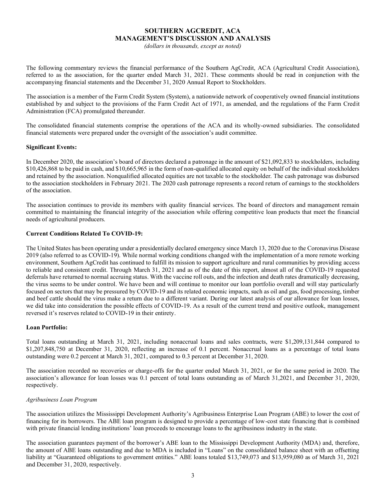# **SOUTHERN AGCREDIT, ACA** MANAGEMENT'S DISCUSSION AND ANALYSIS

*(dollars in thousands, except as noted)*

The following commentary reviews the financial performance of the Southern AgCredit, ACA (Agricultural Credit Association), referred to as the association, for the quarter ended March 31, 2021. These comments should be read in conjunction with the accompanying financial statements and the December 31, 2020 Annual Report to Stockholders.

The association is a member of the Farm Credit System (System), a nationwide network of cooperatively owned financial institutions established by and subject to the provisions of the Farm Credit Act of 1971, as amended, and the regulations of the Farm Credit Administration (FCA) promulgated thereunder.

The consolidated financial statements comprise the operations of the ACA and its wholly-owned subsidiaries. The consolidated financial statements were prepared under the oversight of the association's audit committee.

#### **Significant Events:**

In December 2020, the association's board of directors declared a patronage in the amount of \$21,092,833 to stockholders, including \$10,426,868 to be paid in cash, and \$10,665,965 in the form of non-qualified allocated equity on behalf of the individual stockholders and retained by the association. Nonqualified allocated equities are not taxable to the stockholder. The cash patronage was disbursed to the association stockholders in February 2021. The 2020 cash patronage represents a record return of earnings to the stockholders of the association.

The association continues to provide its members with quality financial services. The board of directors and management remain committed to maintaining the financial integrity of the association while offering competitive loan products that meet the financial needs of agricultural producers.

#### **Current Conditions Related To COVID-19:**

The United States has been operating under a presidentially declared emergency since March 13, 2020 due to the Coronavirus Disease 2019 (also referred to as COVID-19). While normal working conditions changed with the implementation of a more remote working environment, Southern AgCredit has continued to fulfill its mission to support agriculture and rural communities by providing access to reliable and consistent credit. Through March 31, 2021 and as of the date of this report, almost all of the COVID-19 requested deferrals have returned to normal accruing status. With the vaccine roll outs, and the infection and death rates dramatically decreasing, the virus seems to be under control. We have been and will continue to monitor our loan portfolio overall and will stay particularly focused on sectors that may be pressured by COVID-19 and its related economic impacts, such as oil and gas, food processing, timber and beef cattle should the virus make a return due to a different variant. During our latest analysis of our allowance for loan losses, we did take into consideration the possible effects of COVID-19. As a result of the current trend and positive outlook, management reversed it's reserves related to COVID-19 in their entirety.

## **Loan Portfolio:**

Total loans outstanding at March 31, 2021, including nonaccrual loans and sales contracts, were \$1,209,131,844 compared to \$1,207,848,750 at December 31, 2020, reflecting an increase of 0.1 percent. Nonaccrual loans as a percentage of total loans outstanding were 0.2 percent at March 31, 2021, compared to 0.3 percent at December 31, 2020.

The association recorded no recoveries or charge-offs for the quarter ended March 31, 2021, or for the same period in 2020. The association's allowance for loan losses was 0.1 percent of total loans outstanding as of March 31,2021, and December 31, 2020, respectively.

#### *Agribusiness Loan Program*

The association utilizes the Mississippi Development Authority's Agribusiness Enterprise Loan Program (ABE) to lower the cost of financing for its borrowers. The ABE loan program is designed to provide a percentage of low-cost state financing that is combined with private financial lending institutions' loan proceeds to encourage loans to the agribusiness industry in the state.

The association guarantees payment of the borrower's ABE loan to the Mississippi Development Authority (MDA) and, therefore, the amount of ABE loans outstanding and due to MDA is included in "Loans" on the consolidated balance sheet with an offsetting liability at "Guaranteed obligations to government entities." ABE loans totaled \$13,749,073 and \$13,959,080 as of March 31, 2021 and December 31, 2020, respectively.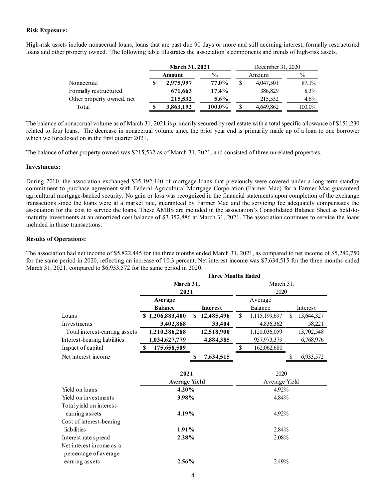## **Risk Exposure:**

High-risk assets include nonaccrual loans, loans that are past due 90 days or more and still accruing interest, formally restructured loans and other property owned. The following table illustrates the association's components and trends of high-risk assets.

|                           |  | <b>March 31, 2021</b> |               |  | December 31, 2020 |               |  |  |
|---------------------------|--|-----------------------|---------------|--|-------------------|---------------|--|--|
|                           |  | Amount                | $\frac{6}{9}$ |  | Amount            | $\frac{0}{0}$ |  |  |
| Nonaccrual                |  | 2,975,997             | 77.0%         |  | 4,047,501         | 87.1%         |  |  |
| Formally restructured     |  | 671,663               | $17.4\%$      |  | 386,829           | $8.3\%$       |  |  |
| Other property owned, net |  | 215,532               | $5.6\%$       |  | 215,532           | $4.6\%$       |  |  |
| Total                     |  | 3,863,192             | 100.0%        |  | 4,649,862         | 100.0%        |  |  |

The balance of nonaccrual volume as of March 31, 2021 is primarily secured by real estate with a total specific allowance of \$151,230 related to four loans. The decrease in nonaccrual volume since the prior year end is primarily made up of a loan to one borrower which we foreclosed on in the first quarter 2021.

The balance of other property owned was \$215,532 as of March 31, 2021, and consisted of three unrelated properties.

#### **Investments:**

During 2010, the association exchanged \$35,192,440 of mortgage loans that previously were covered under a long-term standby commitment to purchase agreement with Federal Agricultural Mortgage Corporation (Farmer Mac) for a Farmer Mac guaranteed agricultural mortgage-backed security. No gain or loss was recognized in the financial statements upon completion of the exchange transactions since the loans were at a market rate, guaranteed by Farmer Mac and the servicing fee adequately compensates the association for the cost to service the loans. These AMBS are included in the association's Consolidated Balance Sheet as held-tomaturity investments at an amortized cost balance of \$3,352,886 at March 31, 2021. The association continues to service the loans included in those transactions.

#### **Results of Operations:**

The association had net income of \$5,822,445 for the three months ended March 31, 2021, as compared to net income of \$5,280,750 for the same period in 2020, reflecting an increase of 10.3 percent. Net interest income was \$7,634,515 for the three months ended March 31, 2021, compared to \$6,933,572 for the same period in 2020.  **Three Months Ended** 

|                               | Three Months Ended   |                  |       |               |    |            |
|-------------------------------|----------------------|------------------|-------|---------------|----|------------|
|                               | March 31,            | March 31,        |       |               |    |            |
|                               | 2021                 |                  |       | 2020          |    |            |
|                               | Average              |                  |       | Average       |    |            |
|                               | <b>Balance</b>       | <b>Interest</b>  |       | Balance       |    | Interest   |
| Loans                         | \$1,206,883,400      | 12,485,496<br>\$ | \$    | 1,115,199,697 | \$ | 13,644,327 |
| Investments                   | 3,402,888            | 33,404           |       | 4,836,362     |    | 58,221     |
| Total interest-earning assets | 1,210,286,288        | 12,518,900       |       | 1,120,036,059 |    | 13,702,548 |
| Interest-bearing liabilities  | 1,034,627,779        | 4,884,385        |       | 957,973,379   |    | 6,768,976  |
| Impact of capital             | 175,658,509<br>\$.   |                  | \$    | 162,062,680   |    |            |
| Net interest income           |                      | 7,634,515        |       |               |    | 6,933,572  |
|                               |                      |                  |       |               |    |            |
|                               | 2021                 |                  |       | 2020          |    |            |
|                               | <b>Average Yield</b> |                  |       | Average Yield |    |            |
| Yield on loans                | 4.20%                |                  | 4.92% |               |    |            |
| Yield on investments          | 3.98%                |                  | 4.84% |               |    |            |
| Total yield on interest-      |                      |                  |       |               |    |            |
| earning assets                | 4.19%                |                  |       | 4.92%         |    |            |
| Cost of interest-bearing      |                      |                  |       |               |    |            |
| liabilities                   | 1.91%                |                  |       | $2.84\%$      |    |            |
| Interest rate spread          | 2.28%                |                  |       | 2.08%         |    |            |
| Net interest income as a      |                      |                  |       |               |    |            |
| percentage of average         |                      |                  |       |               |    |            |
| earning assets                | 2.56%                |                  |       | 2.49%         |    |            |
|                               |                      |                  |       |               |    |            |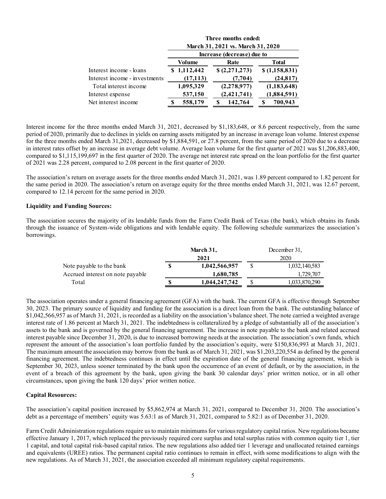|                               | Three months ended:<br>March 31, 2021 vs. March 31, 2020 |             |  |                            |  |               |
|-------------------------------|----------------------------------------------------------|-------------|--|----------------------------|--|---------------|
|                               |                                                          |             |  | Increase (decrease) due to |  |               |
|                               |                                                          | Volume      |  | Rate                       |  | <b>Total</b>  |
| Interest income - loans       |                                                          | \$1,112,442 |  | \$(2,271,273)              |  | \$(1,158,831) |
| Interest income - investments |                                                          | (17, 113)   |  | (7,704)                    |  | (24, 817)     |
| Total interest income         |                                                          | 1,095,329   |  | (2,278,977)                |  | (1, 183, 648) |
| Interest expense              |                                                          | 537,150     |  | (2,421,741)                |  | (1,884,591)   |
| Net interest income           |                                                          | 558,179     |  | 142,764                    |  | 700,943       |

Interest income for the three months ended March 31, 2021, decreased by \$1,183,648, or 8.6 percent respectively, from the same period of 2020, primarily due to declines in yields on earning assets mitigated by an increase in average loan volume. Interest expense for the three months ended March 31,2021, decreased by \$1,884,591, or 27.8 percent, from the same period of 2020 due to a decrease in interest rates offset by an increase in average debt volume. Average loan volume for the first quarter of 2021 was \$1,206,883,400, compared to \$1,115,199,697 in the first quarter of 2020. The average net interest rate spread on the loan portfolio for the first quarter of 2021 was 2.28 percent, compared to 2.08 percent in the first quarter of 2020.

The association's return on average assets for the three months ended March 31, 2021, was 1.89 percent compared to 1.82 percent for the same period in 2020. The association's return on average equity for the three months ended March 31, 2021, was 12.67 percent, compared to 12.14 percent for the same period in 2020.

#### **Liquidity and Funding Sources:**

The association secures the majority of its lendable funds from the Farm Credit Bank of Texas (the bank), which obtains its funds through the issuance of System-wide obligations and with lendable equity. The following schedule summarizes the association's borrowings.

|                                  |    | March 31,     | December 31, |               |  |  |
|----------------------------------|----|---------------|--------------|---------------|--|--|
|                                  |    | 2021          | 2020         |               |  |  |
| Note payable to the bank         | \$ | 1,042,566,957 | S            | 1,032,140,583 |  |  |
| Accrued interest on note payable |    | 1,680,785     |              | 1,729,707     |  |  |
| Total                            | S  | 1,044,247,742 |              | 1,033,870,290 |  |  |

The association operates under a general financing agreement (GFA) with the bank. The current GFA is effective through September 30, 2023. The primary source of liquidity and funding for the association is a direct loan from the bank. The outstanding balance of \$1,042,566,957 as of March 31, 2021, is recorded as a liability on the association's balance sheet. The note carried a weighted average interest rate of 1.86 percent at March 31, 2021. The indebtedness is collateralized by a pledge of substantially all of the association's assets to the bank and is governed by the general financing agreement. The increase in note payable to the bank and related accrued interest payable since December 31, 2020, is due to increased borrowing needs at the association. The association's own funds, which represent the amount of the association's loan portfolio funded by the association's equity, were \$150,836,993 at March 31, 2021. The maximum amount the association may borrow from the bank as of March 31, 2021, was \$1,203,220,554 as defined by the general financing agreement. The indebtedness continues in effect until the expiration date of the general financing agreement, which is September 30, 2023, unless sooner terminated by the bank upon the occurrence of an event of default, or by the association, in the event of a breach of this agreement by the bank, upon giving the bank 30 calendar days' prior written notice, or in all other circumstances, upon giving the bank 120 days' prior written notice.

#### **Capital Resources:**

The association's capital position increased by \$5,862,974 at March 31, 2021, compared to December 31, 2020. The association's debt as a percentage of members' equity was 5.63:1 as of March 31, 2021, compared to 5.82:1 as of December 31, 2020.

Farm Credit Administration regulations require us to maintain minimums for various regulatory capital ratios. New regulations became effective January 1, 2017, which replaced the previously required core surplus and total surplus ratios with common equity tier 1, tier 1 capital, and total capital risk-based capital ratios. The new regulations also added tier 1 leverage and unallocated retained earnings and equivalents (UREE) ratios. The permanent capital ratio continues to remain in effect, with some modifications to align with the new regulations. As of March 31, 2021, the association exceeded all minimum regulatory capital requirements.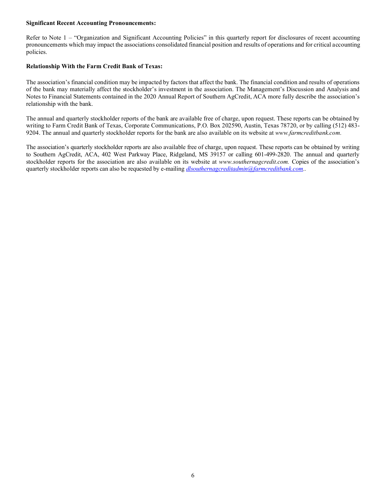#### **Significant Recent Accounting Pronouncements:**

Refer to Note 1 – "Organization and Significant Accounting Policies" in this quarterly report for disclosures of recent accounting pronouncements which may impact the associations consolidated financial position and results of operations and for critical accounting policies.

### **Relationship With the Farm Credit Bank of Texas:**

The association's financial condition may be impacted by factors that affect the bank. The financial condition and results of operations of the bank may materially affect the stockholder's investment in the association. The Management's Discussion and Analysis and Notes to Financial Statements contained in the 2020 Annual Report of Southern AgCredit, ACA more fully describe the association's relationship with the bank.

The annual and quarterly stockholder reports of the bank are available free of charge, upon request. These reports can be obtained by writing to Farm Credit Bank of Texas, Corporate Communications, P.O. Box 202590, Austin, Texas 78720, or by calling (512) 483- 9204. The annual and quarterly stockholder reports for the bank are also available on its website at *www.farmcreditbank.com.*

The association's quarterly stockholder reports are also available free of charge, upon request. These reports can be obtained by writing to Southern AgCredit, ACA, 402 West Parkway Place, Ridgeland, MS 39157 or calling 601-499-2820. The annual and quarterly stockholder reports for the association are also available on its website at *www.southernagcredit.com.* Copies of the association's quarterly stockholder reports can also be requested by e-mailing *dlsouthernagcreditadmin@farmcreditbank.com..*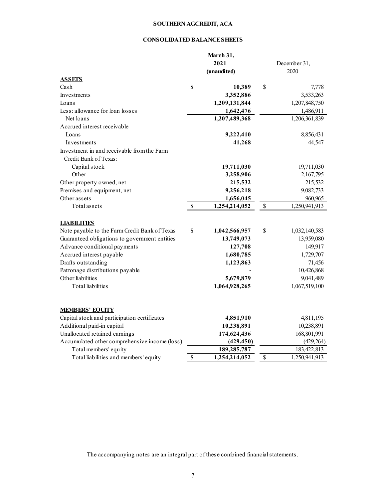## **SOUTHERN AGCREDIT, ACA**

## **CONSOLIDATED BALANCE SHEETS**

|                                               |                           | March 31,     |              |               |  |
|-----------------------------------------------|---------------------------|---------------|--------------|---------------|--|
|                                               |                           | 2021          | December 31, |               |  |
|                                               |                           | (unaudited)   |              | 2020          |  |
| <b>ASSETS</b>                                 |                           |               |              |               |  |
| Cash                                          | \$                        | 10,389        | \$           | 7,778         |  |
| Investments                                   |                           | 3,352,886     |              | 3,533,263     |  |
| Loans                                         |                           | 1,209,131,844 |              | 1,207,848,750 |  |
| Less: allowance for loan losses               |                           | 1,642,476     |              | 1,486,911     |  |
| Net loans                                     |                           | 1,207,489,368 |              | 1,206,361,839 |  |
| Accrued interest receivable                   |                           |               |              |               |  |
| Loans                                         |                           | 9,222,410     |              | 8,856,431     |  |
| Investments                                   |                           | 41,268        |              | 44,547        |  |
| Investment in and receivable from the Farm    |                           |               |              |               |  |
| Credit Bank of Texas:                         |                           |               |              |               |  |
| Capital stock                                 |                           | 19,711,030    |              | 19,711,030    |  |
| Other                                         |                           | 3,258,906     |              | 2,167,795     |  |
| Other property owned, net                     |                           | 215,532       |              | 215,532       |  |
| Premises and equipment, net                   |                           | 9,256,218     |              | 9,082,733     |  |
| Other assets                                  |                           | 1,656,045     |              | 960,965       |  |
| Total assets                                  | $\boldsymbol{\mathsf{s}}$ | 1,254,214,052 | $\$$         | 1,250,941,913 |  |
|                                               |                           |               |              |               |  |
| <b>LIABILITIES</b>                            |                           |               |              |               |  |
| Note payable to the Farm Credit Bank of Texas | \$                        | 1,042,566,957 | \$           | 1,032,140,583 |  |
| Guaranteed obligations to government entities |                           | 13,749,073    |              | 13,959,080    |  |
| Advance conditional payments                  |                           | 127,708       |              | 149,917       |  |
| Accrued interest payable                      |                           | 1,680,785     |              | 1,729,707     |  |
| Drafts outstanding                            |                           | 1,123,863     |              | 71,456        |  |
| Patronage distributions payable               |                           |               |              | 10,426,868    |  |
| Other liabilities                             |                           | 5,679,879     |              | 9,041,489     |  |
| <b>Total liabilities</b>                      |                           | 1,064,928,265 |              | 1,067,519,100 |  |
|                                               |                           |               |              |               |  |
|                                               |                           |               |              |               |  |
| <b>MEMBERS' EQUITY</b>                        |                           |               |              |               |  |
| Capital stock and participation certificates  |                           | 4,851,910     |              | 4,811,195     |  |
| Additional paid-in capital                    |                           | 10,238,891    |              | 10,238,891    |  |
| Unallocated retained earnings                 |                           | 174,624,436   |              | 168,801,991   |  |
| Accumulated other comprehensive income (loss) |                           | (429, 450)    |              | (429, 264)    |  |
| Total members' equity                         |                           | 189,285,787   |              | 183,422,813   |  |
| Total liabilities and members' equity         | \$                        | 1,254,214,052 | $\mathbb S$  | 1,250,941,913 |  |

The accompanying notes are an integral part of these combined financial statements.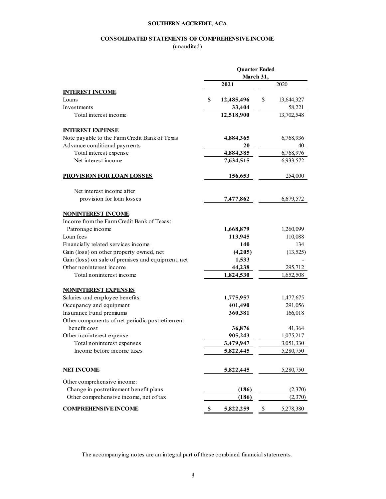#### **SOUTHERN AGCREDIT, ACA**

## **CONSOLIDATED STATEMENTS OF COMPREHENSIVE INCOME**

(unaudited)

|                                                    | <b>Ouarter Ended</b><br>March 31, |                  |  |  |  |
|----------------------------------------------------|-----------------------------------|------------------|--|--|--|
|                                                    | 2021                              | 2020             |  |  |  |
| <b>INTEREST INCOME</b>                             |                                   |                  |  |  |  |
| Loans                                              | S<br>12,485,496                   | \$<br>13,644,327 |  |  |  |
| Investments                                        | 33,404                            | 58,221           |  |  |  |
| Total interest income                              | 12,518,900                        | 13,702,548       |  |  |  |
| <b>INTEREST EXPENSE</b>                            |                                   |                  |  |  |  |
| Note payable to the Farm Credit Bank of Texas      | 4,884,365                         | 6,768,936        |  |  |  |
| Advance conditional payments                       | 20                                | 40               |  |  |  |
| Total interest expense                             | 4,884,385                         | 6,768,976        |  |  |  |
| Net interest income                                | 7,634,515                         | 6,933,572        |  |  |  |
| <b>PROVISION FOR LOAN LOSSES</b>                   | 156,653                           | 254,000          |  |  |  |
| Net interest income after                          |                                   |                  |  |  |  |
| provision for loan losses                          | 7,477,862                         | 6,679,572        |  |  |  |
| <b>NONINTEREST INCOME</b>                          |                                   |                  |  |  |  |
| Income from the Farm Credit Bank of Texas:         |                                   |                  |  |  |  |
| Patronage income                                   | 1,668,879                         | 1,260,099        |  |  |  |
| Loan fees                                          | 113,945                           | 110,088          |  |  |  |
| Financially related services income                | 140                               | 134              |  |  |  |
| Gain (loss) on other property owned, net           | (4,205)                           | (13, 525)        |  |  |  |
| Gain (loss) on sale of premises and equipment, net | 1,533                             |                  |  |  |  |
| Other noninterest income                           | 44,238                            | 295,712          |  |  |  |
| Total noninterest income                           | 1,824,530                         | 1,652,508        |  |  |  |
| <b>NONINTEREST EXPENSES</b>                        |                                   |                  |  |  |  |
| Salaries and employee benefits                     | 1,775,957                         | 1,477,675        |  |  |  |
| Occupancy and equipment                            | 401,490                           | 291,056          |  |  |  |
| Insurance Fund premiums                            | 360,381                           | 166,018          |  |  |  |
| Other components of net periodic postretirement    |                                   |                  |  |  |  |
| benefit cost                                       | 36,876                            | 41,364           |  |  |  |
| Other noninterest expense                          | 905,243                           | 1,075,217        |  |  |  |
| Total noninterest expenses                         | 3,479,947                         | 3,051,330        |  |  |  |
| Income before income taxes                         | 5,822,445                         | 5,280,750        |  |  |  |
| <b>NET INCOME</b>                                  | 5,822,445                         | 5,280,750        |  |  |  |
| Other comprehensive income:                        |                                   |                  |  |  |  |
| Change in postretirement benefit plans             | (186)                             | (2,370)          |  |  |  |
| Other comprehensive income, net of tax             | (186)                             | (2,370)          |  |  |  |
| <b>COMPREHENSIVE INCOME</b>                        | 5,822,259<br>\$                   | \$<br>5,278,380  |  |  |  |

The accompanying notes are an integral part of these combined financial statements.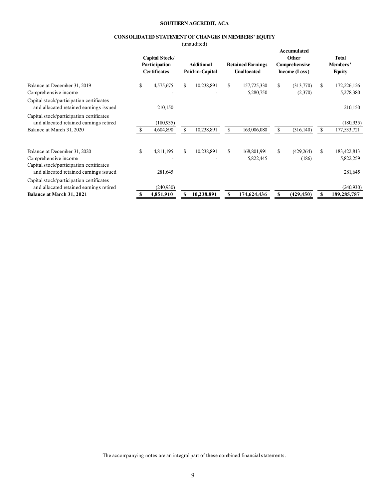#### **SOUTHERN AGCREDIT, ACA**

#### **CONSOLIDATED STATEMENT OF CHANGES IN MEMBERS' EQUITY**

|                                                                                                                                            |    |                                                        | (unaudited)                   |    |                                         |                                                               |                                             |
|--------------------------------------------------------------------------------------------------------------------------------------------|----|--------------------------------------------------------|-------------------------------|----|-----------------------------------------|---------------------------------------------------------------|---------------------------------------------|
|                                                                                                                                            |    | Capital Stock/<br>Participation<br><b>Certificates</b> | Additional<br>Paid-in-Capital |    | <b>Retained Earnings</b><br>Unallocated | <b>Accumulated</b><br>Other<br>Comprehensive<br>Income (Loss) | <b>Total</b><br>Members'<br><b>Equity</b>   |
| Balance at December 31, 2019<br>Comprehensive income                                                                                       | \$ | 4,575,675                                              | \$<br>10,238,891              | S. | 157,725,330<br>5,280,750                | \$<br>(313,770)<br>(2,370)                                    | \$<br>172,226,126<br>5,278,380              |
| Capital stock/participation certificates<br>and allocated retained earnings issued                                                         |    | 210,150                                                |                               |    |                                         |                                                               | 210,150                                     |
| Capital stock/participation certificates<br>and allocated retained earnings retired<br>Balance at March 31, 2020                           |    | (180, 935)<br>4,604,890                                | 10,238,891                    |    | 163,006,080                             | \$<br>(316, 140)                                              | \$<br>(180, 935)<br>177,533,721             |
| Balance at December 31, 2020<br>Comprehensive income<br>Capital stock/participation certificates<br>and allocated retained earnings issued | \$ | 4,811,195<br>281,645                                   | \$<br>10,238,891              | \$ | 168,801,991<br>5,822,445                | \$<br>(429, 264)<br>(186)                                     | \$<br>183, 422, 813<br>5,822,259<br>281,645 |
| Capital stock/participation certificates<br>and allocated retained earnings retired<br><b>Balance at March 31, 2021</b>                    | S  | (240, 930)<br>4,851,910                                | 10,238,891                    | \$ | 174,624,436                             | \$<br>(429, 450)                                              | \$<br>(240, 930)<br>189,285,787             |

The accompanying notes are an integral part of these combined financial statements.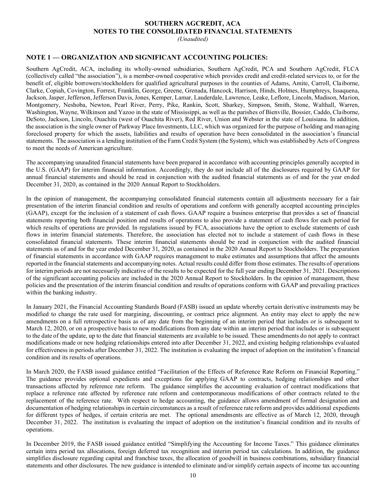# **SOUTHERN AGCREDIT, ACA NOTES TO THE CONSOLIDATED FINANCIAL STATEMENTS**

*(Unaudited)*

# **NOTE 1** — **ORGANIZATION AND SIGNIFICANT ACCOUNTING POLICIES:**

Southern AgCredit, ACA, including its wholly-owned subsidiaries, Southern AgCredit, PCA and Southern AgCredit, FLCA (collectively called "the association"), is a member-owned cooperative which provides credit and credit-related services to, or for the benefit of, eligible borrowers/stockholders for qualified agricultural purposes in the counties of Adams, Amite, Carroll, Claiborne, Clarke, Copiah, Covington, Forrest, Franklin, George, Greene, Grenada, Hancock, Harrison, Hinds, Holmes, Humphreys, Issaquena, Jackson, Jasper, Jefferson, Jefferson Davis, Jones, Kemper, Lamar, Lauderdale, Lawrence, Leake, Leflore, Lincoln, Madison, Marion, Montgomery, Neshoba, Newton, Pearl River, Perry, Pike, Rankin, Scott, Sharkey, Simpson, Smith, Stone, Walthall, Warren, Washington, Wayne, Wilkinson and Yazoo in the state of Mississippi, as well as the parishes of Bienville, Bossier, Caddo, Claiborne, DeSoto, Jackson, Lincoln, Ouachita (west of Ouachita River), Red River, Union and Webster in the state of Louisiana. In addition, the association is the single owner of Parkway Place Investments, LLC, which was organized for the purpose of holding and managing foreclosed property for which the assets, liabilities and results of operation have been consolidated in the association's financial statements. The association is a lending institution of the Farm Credit System (the System), which was established by Acts of Congress to meet the needs of American agriculture.

The accompanying unaudited financial statements have been prepared in accordance with accounting principles generally accepted in the U.S. (GAAP) for interim financial information. Accordingly, they do not include all of the disclosures required by GAAP for annual financial statements and should be read in conjunction with the audited financial statements as of and for the year ended December 31, 2020, as contained in the 2020 Annual Report to Stockholders.

In the opinion of management, the accompanying consolidated financial statements contain all adjustments necessary for a fair presentation of the interim financial condition and results of operations and conform with generally accepted accounting principles (GAAP), except for the inclusion of a statement of cash flows. GAAP require a business enterprise that provides a set of financial statements reporting both financial position and results of operations to also provide a statement of cash flows for each period for which results of operations are provided. In regulations issued by FCA, associations have the option to exclude statements of cash flows in interim financial statements. Therefore, the association has elected not to include a statement of cash flows in these consolidated financial statements. These interim financial statements should be read in conjunction with the audited financial statements as of and for the year ended December 31, 2020, as contained in the 2020 Annual Report to Stockholders. The preparation of financial statements in accordance with GAAP requires management to make estimates and assumptions that affect the amounts reported in the financial statements and accompanying notes. Actual results could differ from those estimates. The results of operations for interim periods are not necessarily indicative of the results to be expected for the full year ending December 31, 2021. Descriptions of the significant accounting policies are included in the 2020 Annual Report to Stockholders. In the opinion of management, these policies and the presentation of the interim financial condition and results of operations conform with GAAP and prevailing practices within the banking industry.

In January 2021, the Financial Accounting Standards Board (FASB) issued an update whereby certain derivative instruments may be modified to change the rate used for margining, discounting, or contract price alignment. An entity may elect to apply the new amendments on a full retrospective basis as of any date from the beginning of an interim period that includes or is subsequent to March 12, 2020, or on a prospective basis to new modifications from any date within an interim period that includes or is subsequent to the date of the update, up to the date that financial statements are available to be issued. These amendments do not apply to contract modifications made or new hedging relationships entered into after December 31, 2022, and existing hedging relationships evaluated for effectiveness in periods after December 31, 2022. The institution is evaluating the impact of adoption on the institution's financial condition and its results of operations.

In March 2020, the FASB issued guidance entitled "Facilitation of the Effects of Reference Rate Reform on Financial Reporting." The guidance provides optional expedients and exceptions for applying GAAP to contracts, hedging relationships and other transactions affected by reference rate reform. The guidance simplifies the accounting evaluation of contract modifications that replace a reference rate affected by reference rate reform and contemporaneous modifications of other contracts related to the replacement of the reference rate. With respect to hedge accounting, the guidance allows amendment of formal designation and documentation of hedging relationships in certain circumstances as a result of reference rate reform and provides additional expedients for different types of hedges, if certain criteria are met. The optional amendments are effective as of March 12, 2020, through December 31, 2022. The institution is evaluating the impact of adoption on the institution's financial condition and its results of operations.

In December 2019, the FASB issued guidance entitled "Simplifying the Accounting for Income Taxes." This guidance eliminates certain intra period tax allocations, foreign deferred tax recognition and interim period tax calculations. In addition, the guidance simplifies disclosure regarding capital and franchise taxes, the allocation of goodwill in business combinations, subsidiary financial statements and other disclosures. The new guidance is intended to eliminate and/or simplify certain aspects of income tax accounting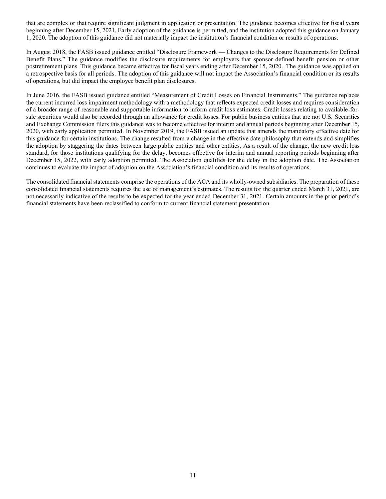that are complex or that require significant judgment in application or presentation. The guidance becomes effective for fiscal years beginning after December 15, 2021. Early adoption of the guidance is permitted, and the institution adopted this guidance on January 1, 2020. The adoption of this guidance did not materially impact the institution's financial condition or results of operations.

In August 2018, the FASB issued guidance entitled "Disclosure Framework — Changes to the Disclosure Requirements for Defined Benefit Plans." The guidance modifies the disclosure requirements for employers that sponsor defined benefit pension or other postretirement plans. This guidance became effective for fiscal years ending after December 15, 2020. The guidance was applied on a retrospective basis for all periods. The adoption of this guidance will not impact the Association's financial condition or its results of operations, but did impact the employee benefit plan disclosures.

In June 2016, the FASB issued guidance entitled "Measurement of Credit Losses on Financial Instruments." The guidance replaces the current incurred loss impairment methodology with a methodology that reflects expected credit losses and requires consideration of a broader range of reasonable and supportable information to inform credit loss estimates. Credit losses relating to available-forsale securities would also be recorded through an allowance for credit losses. For public business entities that are not U.S. Securities and Exchange Commission filers this guidance was to become effective for interim and annual periods beginning after December 15, 2020, with early application permitted. In November 2019, the FASB issued an update that amends the mandatory effective date for this guidance for certain institutions. The change resulted from a change in the effective date philosophy that extends and simplifies the adoption by staggering the dates between large public entities and other entities. As a result of the change, the new credit loss standard, for those institutions qualifying for the delay, becomes effective for interim and annual reporting periods beginning after December 15, 2022, with early adoption permitted. The Association qualifies for the delay in the adoption date. The Association continues to evaluate the impact of adoption on the Association's financial condition and its results of operations.

The consolidated financial statements comprise the operations of the ACA and its wholly-owned subsidiaries. The preparation of these consolidated financial statements requires the use of management's estimates. The results for the quarter ended March 31, 2021, are not necessarily indicative of the results to be expected for the year ended December 31, 2021. Certain amounts in the prior period's financial statements have been reclassified to conform to current financial statement presentation.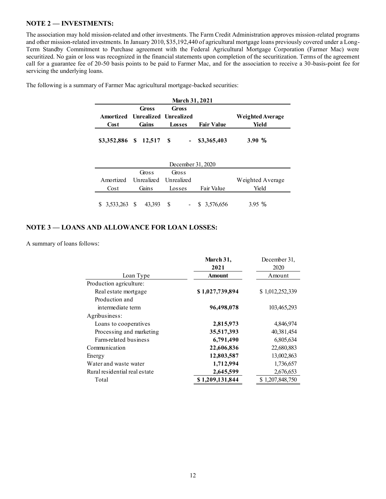## **NOTE 2** — **INVESTMENTS:**

The association may hold mission-related and other investments. The Farm Credit Administration approves mission-related programs and other mission-related investments. In January 2010, \$35,192,440 of agricultural mortgage loans previously covered under a Long-Term Standby Commitment to Purchase agreement with the Federal Agricultural Mortgage Corporation (Farmer Mac) were securitized. No gain or loss was recognized in the financial statements upon completion of the securitization. Terms of the agreement call for a guarantee fee of 20-50 basis points to be paid to Farmer Mac, and for the association to receive a 30-basis-point fee for servicing the underlying loans.

| <b>March 31, 2021</b>    |       |                                 |                   |                  |  |  |  |
|--------------------------|-------|---------------------------------|-------------------|------------------|--|--|--|
|                          | Gross | Gross                           |                   |                  |  |  |  |
|                          |       | Amortized Unrealized Unrealized |                   | Weighted Average |  |  |  |
| Cost                     | Gains | Losses                          | <b>Fair Value</b> | Yield            |  |  |  |
| \$3,352,886 \$ 12,517 \$ |       |                                 | $-$ \$3,365,403   | 3.90%            |  |  |  |

The following is a summary of Farmer Mac agricultural mortgage-backed securities:

| December 31, 2020 |                                 |        |                  |                  |  |  |  |
|-------------------|---------------------------------|--------|------------------|------------------|--|--|--|
|                   | Gross                           | Gross  |                  |                  |  |  |  |
|                   | Amortized Unrealized Unrealized |        |                  | Weighted Average |  |  |  |
| Cost              | Gains                           | Losses | Fair Value       | Yield            |  |  |  |
|                   | 43,393                          |        | $-$ \$ 3,576,656 | 3.95%            |  |  |  |

# **NOTE 3** — **LOANS AND ALLOWANCE FOR LOAN LOSSES:**

A summary of loans follows:

|                               | March 31,       | December 31,    |
|-------------------------------|-----------------|-----------------|
|                               | 2021            | 2020            |
| Loan Type                     | <b>Amount</b>   | Amount          |
| Production agriculture:       |                 |                 |
| Real estate mortgage          | \$1,027,739,894 | \$1,012,252,339 |
| Production and                |                 |                 |
| intermediate term             | 96,498,078      | 103,465,293     |
| Agribusiness:                 |                 |                 |
| Loans to cooperatives         | 2,815,973       | 4,846,974       |
| Processing and marketing      | 35,517,393      | 40,381,454      |
| Farm-related business         | 6,791,490       | 6,805,634       |
| Communication                 | 22,606,836      | 22,680,883      |
| Energy                        | 12,803,587      | 13,002,863      |
| Water and waste water         | 1,712,994       | 1,736,657       |
| Rural residential real estate | 2,645,599       | 2,676,653       |
| Total                         | \$1,209,131,844 | \$1,207,848,750 |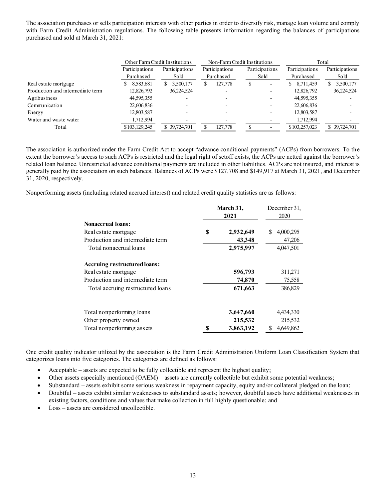The association purchases or sells participation interests with other parties in order to diversify risk, manage loan volume and comply with Farm Credit Administration regulations. The following table presents information regarding the balances of participations purchased and sold at March 31, 2021:

|                                  | Other Farm Credit Institutions |                 |                | Non-Farm Credit Institutions | Total           |                 |
|----------------------------------|--------------------------------|-----------------|----------------|------------------------------|-----------------|-----------------|
|                                  | Participations                 | Participations  | Participations | Participations               | Participations  | Participations  |
|                                  | Purchased                      | Sold            | Purchased      | Sold                         | Purchased       | Sold            |
| Real estate mortgage             | 8,583,681                      | 3,500,177<br>S. | 127,778<br>ъ   | D                            | 8,711,459<br>S. | 3,500,177<br>S. |
| Production and intermediate term | 12,826,792                     | 36,224,524      |                |                              | 12,826,792      | 36,224,524      |
| Agribusiness                     | 44,595,355                     |                 |                |                              | 44,595,355      |                 |
| Communication                    | 22,606,836                     |                 |                |                              | 22,606,836      |                 |
| Energy                           | 12,803,587                     |                 |                |                              | 12,803,587      |                 |
| Water and waste water            | 1,712,994                      |                 |                |                              | 1,712,994       |                 |
| Total                            | \$103,129,245                  | \$39,724,701    | 127,778        |                              | \$103,257,023   | \$39,724,701    |

The association is authorized under the Farm Credit Act to accept "advance conditional payments" (ACPs) from borrowers. To the extent the borrower's access to such ACPs is restricted and the legal right of setoff exists, the ACPs are netted against the borrower's related loan balance. Unrestricted advance conditional payments are included in other liabilities. ACPs are not insured, and interest is generally paid by the association on such balances. Balances of ACPs were \$127,708 and \$149,917 at March 31, 2021, and December 31, 2020, respectively.

Nonperforming assets (including related accrued interest) and related credit quality statistics are as follows:

|                                   | March 31, | December 31,<br>2020 |                |
|-----------------------------------|-----------|----------------------|----------------|
| <b>Nonaccrual loans:</b>          |           |                      |                |
| Real estate mortgage              | \$        | 2,932,649            | S<br>4,000,295 |
| Production and intermediate term  |           | 43,348               | 47,206         |
| Total nonaccrual loans            |           | 2,975,997            | 4,047,501      |
| Accruing restructured loans:      |           |                      |                |
| Real estate mortgage              |           | 596,793              | 311,271        |
| Production and intermediate term  |           | 74,870               | 75,558         |
| Total accruing restructured loans |           | 671,663              | 386,829        |
| Total nonperforming loans         |           | 3,647,660            | 4,434,330      |
| Other property owned              |           | 215,532              | 215,532        |
| Total nonperforming assets        |           | 3,863,192            | 4,649,862      |

One credit quality indicator utilized by the association is the Farm Credit Administration Uniform Loan Classification System that categorizes loans into five categories. The categories are defined as follows:

- Acceptable assets are expected to be fully collectible and represent the highest quality;
- Other assets especially mentioned (OAEM) assets are currently collectible but exhibit some potential weakness;
- Substandard assets exhibit some serious weakness in repayment capacity, equity and/or collateral pledged on the loan;
- Doubtful assets exhibit similar weaknesses to substandard assets; however, doubtful assets have additional weaknesses in existing factors, conditions and values that make collection in full highly questionable; and
- Loss assets are considered uncollectible.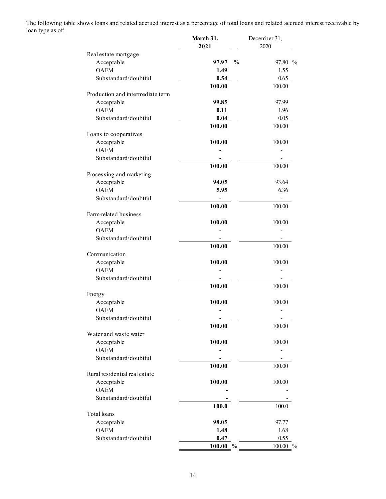The following table shows loans and related accrued interest as a percentage of total loans and related accrued interest receivable by loan type as of:

|                                  | March 31,<br>2021       | December 31,<br>2020 |
|----------------------------------|-------------------------|----------------------|
| Real estate mortgage             |                         |                      |
| Acceptable                       | $\frac{0}{0}$<br>97.97  | 97.80 %              |
| <b>OAEM</b>                      | 1.49                    | 1.55                 |
| Substandard/doubtful             | 0.54                    | 0.65                 |
|                                  | 100.00                  | 100.00               |
| Production and intermediate term |                         |                      |
| Acceptable                       | 99.85                   | 97.99                |
| <b>OAEM</b>                      | 0.11                    | 1.96                 |
| Substandard/doubtful             | 0.04                    | 0.05                 |
|                                  | 100.00                  | 100.00               |
| Loans to cooperatives            |                         |                      |
| Acceptable                       | 100.00                  | 100.00               |
| <b>OAEM</b>                      |                         |                      |
| Substandard/doubtful             |                         |                      |
|                                  | 100.00                  | 100.00               |
| Processing and marketing         |                         |                      |
| Acceptable                       | 94.05                   | 93.64                |
| <b>OAEM</b>                      | 5.95                    | 6.36                 |
| Substandard/doubtful             | ۰                       | $\blacksquare$       |
|                                  | 100.00                  | 100.00               |
| Farm-related business            |                         |                      |
| Acceptable                       | 100.00                  | 100.00               |
| <b>OAEM</b>                      |                         |                      |
| Substandard/doubtful             |                         |                      |
|                                  | 100.00                  | 100.00               |
| Communication                    |                         |                      |
| Acceptable                       | 100.00                  | 100.00               |
| <b>OAEM</b>                      |                         |                      |
| Substandard/doubtful             |                         |                      |
|                                  | 100.00                  | 100.00               |
| Energy                           |                         |                      |
| Acceptable                       | 100.00                  | 100.00               |
| <b>OAEM</b>                      |                         |                      |
| Substandard/doubtful             |                         |                      |
|                                  | 100.00                  | 100.00               |
| Water and waste water            |                         |                      |
| Acceptable                       | 100.00                  | 100.00               |
| <b>OAEM</b>                      |                         |                      |
| Substandard/doubtful             |                         |                      |
|                                  | 100.00                  | 100.00               |
| Rural residential real estate    |                         |                      |
| Acceptable                       | 100.00                  | 100.00               |
| <b>OAEM</b>                      |                         |                      |
| Substandard/doubtful             |                         |                      |
|                                  | 100.0                   | 100.0                |
| Total loans                      |                         |                      |
| Acceptable                       | 98.05                   | 97.77                |
| <b>OAEM</b>                      | 1.48                    | 1.68                 |
| Substandard/doubtful             | 0.47                    | 0.55                 |
|                                  | $\frac{0}{0}$<br>100.00 | 100.00 %             |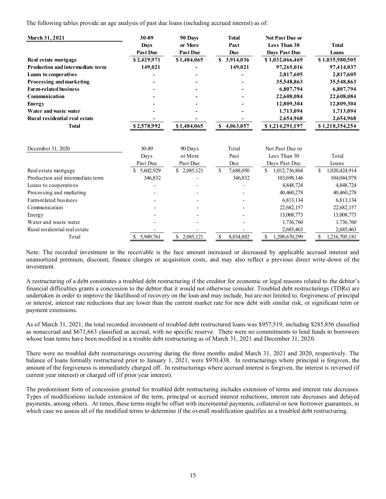The following tables provide an age analysis of past due loans (including accrued interest) as of:

| <b>March 31, 2021</b>            | 30-89           | 90 Days         | <b>Total</b>             | <b>Not Past Due or</b> |                                |
|----------------------------------|-----------------|-----------------|--------------------------|------------------------|--------------------------------|
|                                  | <b>Days</b>     | or More         | Past                     | Less Than 30           | <b>Total</b>                   |
|                                  | <b>Past Due</b> | <b>Past Due</b> | Due                      | <b>Days Past Due</b>   | Loans                          |
| Real estate mortgage             | \$2,429,971     | \$1,484,065     | 3,914,036<br>S.          | \$1,032,066,469        | \$1,035,980,505                |
| Production and intermediate term | 149,021         |                 | 149,021                  | 97,265,016             | 97,414,037                     |
| <b>Loans to cooperatives</b>     |                 |                 |                          | 2,817,605              | 2,817,605                      |
| Processing and marketing         |                 |                 |                          | 35,548,863             | 35,548,863                     |
| <b>Farm-related business</b>     |                 |                 |                          | 6,807,794              | 6,807,794                      |
| Communication                    |                 |                 |                          | 22,608,084             | 22,608,084                     |
| <b>Energy</b>                    |                 |                 |                          | 12,809,304             | 12,809,304                     |
| Water and waste water            |                 |                 |                          | 1,713,094              | 1,713,094                      |
| Rural residential real estate    |                 |                 |                          | 2,654,968              | 2,654,968                      |
| <b>Total</b>                     | \$2,578,992     | \$1,484,065     | $\mathbb S$<br>4,063,057 | \$1,214,291,197        | \$1,218,354,254                |
| December 31, 2020                | 30-89           | 90 Days         | Total                    | Not Past Due or        |                                |
|                                  | Days            | or More         | Past                     | Less Than 30           | Total                          |
|                                  | Past Due        | Past Due        | Due                      | Days Past Due          | Loans                          |
| Real estate mortgage             | 5,602,929<br>\$ | \$2,085,121     | 7,688,050<br>S.          | \$<br>1,012,736,864    | <sup>\$</sup><br>1,020,424,914 |
| Production and intermediate term | 346,832         |                 | 346,832                  | 103,698,146            | 104,044,978                    |
| Loans to cooperatives            |                 |                 |                          | 4,848,724              | 4,848,724                      |
| Processing and marketing         |                 |                 |                          | 40,460,278             | 40,460,278                     |
| Farm-related business            |                 |                 |                          | 6,813,134              | 6,813,134                      |
| Communication                    |                 |                 |                          | 22,682,157             | 22,682,157                     |
| Energy                           |                 |                 |                          | 13,008,773             | 13,008,773                     |
| Water and waste water            |                 |                 |                          | 1,736,760              | 1,736,760                      |
| Rural residential real estate    |                 |                 |                          | 2,685,463              | 2,685,463                      |
| Total                            | \$ 5,949,761    | \$2,085,121     | \$<br>8,034,882          | \$<br>1,208,670,299    | \$<br>1,216,705,181            |

Note: The recorded investment in the receivable is the face amount increased or decreased by applicable accrued interest and unamortized premium, discount, finance charges or acquisition costs, and may also reflect a previous direct write-down of the investment.

A restructuring of a debt constitutes a troubled debt restructuring if the creditor for economic or legal reasons related to the debtor's financial difficulties grants a concession to the debtor that it would not otherwise consider. Troubled debt restructurings (TDRs) are undertaken in order to improve the likelihood of recovery on the loan and may include, but are not limited to, forgiveness of principal or interest, interest rate reductions that are lower than the current market rate for new debt with similar risk, or significant term or payment extensions.

As of March 31, 2021, the total recorded investment of troubled debt restructured loans was \$957,519, including \$285,856 classified as nonaccrual and \$671,663 classified as accrual, with no specific reserve. There were no commitments to lend funds to borrowers whose loan terms have been modified in a trouble debt restructuring as of March 31, 2021 and December 31, 2020.

There were no troubled debt restructurings occurring during the three months ended March 31, 2021 and 2020, respectively. The balance of loans formally restructured prior to January 1, 2021, were \$970,438. In restructurings where principal is forgiven, the amount of the forgiveness is immediately charged off. In restructurings where accrued interest is forgiven, the interest is reversed (if current year interest) or charged off (if prior year interest).

The predominant form of concession granted for troubled debt restructuring includes extension of terms and interest rate decreases. Types of modifications include extension of the term, principal or accrued interest reductions, interest rate decreases and delayed payments, among others. At times, these terms might be offset with incremental payments, collateral or new borrower guarantees, in which case we assess all of the modified terms to determine if the overall modification qualifies as a troubled debt restructuring.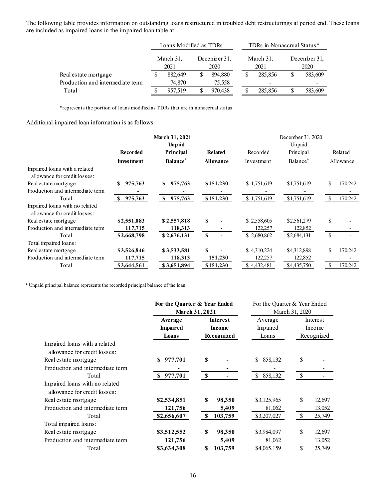The following table provides information on outstanding loans restructured in troubled debt restructurings at period end. These loans are included as impaired loans in the impaired loan table at:

|                                  | Loans Modified as TDRs |         |                      |         | TDRs in Nonaccrual Status* |         |                      |         |
|----------------------------------|------------------------|---------|----------------------|---------|----------------------------|---------|----------------------|---------|
|                                  | March 31,              |         | December 31,<br>2020 |         | March 31,<br>2021          |         | December 31,<br>2020 |         |
| Real estate mortgage             |                        | 882,649 |                      | 894,880 |                            | 285,856 |                      | 583,609 |
| Production and intermediate term |                        | 74.870  |                      | 75,558  |                            |         |                      |         |
| Total                            |                        | 957,519 |                      | 970.438 |                            | 285,856 |                      | 583,609 |

\*represents the portion of loans modified as TDRs that are in nonaccrual status

Additional impaired loan information is as follows:

|                   |                             |                  | December 31, 2020 |                      |               |         |
|-------------------|-----------------------------|------------------|-------------------|----------------------|---------------|---------|
|                   | <b>Unpaid</b>               |                  |                   | Unpaid               |               |         |
| <b>Recorded</b>   | Principal                   | Related          | Recorded          | Principal            | Related       |         |
| <b>Investment</b> | <b>Balance</b> <sup>a</sup> | <b>Allowance</b> | Investment        | Balance <sup>a</sup> | Allowance     |         |
|                   |                             |                  |                   |                      |               |         |
| 975,763<br>S      | 975,763<br>S                | \$151,230        | \$1,751,619       | \$1,751,619          | \$            | 170,242 |
|                   |                             |                  |                   |                      |               |         |
| 975,763<br>S      | 975,763<br>\$               | \$151,230        | \$1,751,619       | \$1,751,619          | \$            | 170,242 |
|                   |                             |                  |                   |                      |               |         |
| \$2,551,083       | \$2,557,818                 | \$               | \$2,558,605       | \$2,561,279          | \$            |         |
| 117,715           | 118,313                     |                  | 122,257           | 122,852              |               |         |
| \$2,668,798       | \$2,676,131                 | \$               | \$2,680,862       | \$2,684,131          | <sup>\$</sup> |         |
|                   |                             |                  |                   |                      |               |         |
| \$3,526,846       | \$3,533,581                 | S                | \$4,310,224       | \$4,312,898          | \$            | 170,242 |
| 117,715           | 118,313                     | 151,230          | 122,257           | 122,852              |               |         |
| \$3,644,561       | \$3.651.894                 | \$151,230        | \$4.432,481       | \$4,435,750          | \$            | 170.242 |
|                   |                             | March 31, 2021   |                   |                      |               |         |

<sup>a</sup> Unpaid principal balance represents the recorded principal balance of the loan.

|                                                                | For the Quarter & Year Ended |                 | For the Quarter & Year Ended<br>March 31, 2020 |                         |  |  |
|----------------------------------------------------------------|------------------------------|-----------------|------------------------------------------------|-------------------------|--|--|
|                                                                |                              | March 31, 2021  |                                                |                         |  |  |
|                                                                | Average                      | <b>Interest</b> | Average                                        | Interest                |  |  |
|                                                                | <b>Impaired</b>              | <b>Income</b>   | Impaired                                       | Income                  |  |  |
|                                                                | Loans                        | Recognized      | Loans                                          | Recognized              |  |  |
| Impaired loans with a related<br>allowance for credit losses:  |                              |                 |                                                |                         |  |  |
| Real estate mortgage                                           | 977,701<br>S                 | S               | \$<br>858,132                                  | \$                      |  |  |
| Production and intermediate term                               |                              |                 |                                                |                         |  |  |
| Total                                                          | 977,701<br>S                 | S               | 858,132<br>\$                                  | \$                      |  |  |
| Impaired loans with no related<br>allowance for credit losses: |                              |                 |                                                |                         |  |  |
| Real estate mortgage                                           | \$2,534,851                  | S<br>98,350     | \$3,125,965                                    | \$<br>12,697            |  |  |
| Production and intermediate term                               | 121,756                      | 5,409           | 81,062                                         | 13,052                  |  |  |
| Total                                                          | \$2,656,607                  | 103,759<br>\$   | \$3,207,027                                    | $\mathcal{S}$<br>25,749 |  |  |
| Total impaired loans:                                          |                              |                 |                                                |                         |  |  |
| Real estate mortgage                                           | \$3,512,552                  | S<br>98,350     | \$3,984,097                                    | \$<br>12,697            |  |  |
| Production and intermediate term                               | 121,756                      | 5,409           | 81,062                                         | 13,052                  |  |  |
| Total                                                          | \$3,634,308                  | S<br>103,759    | \$4,065,159                                    | \$<br>25,749            |  |  |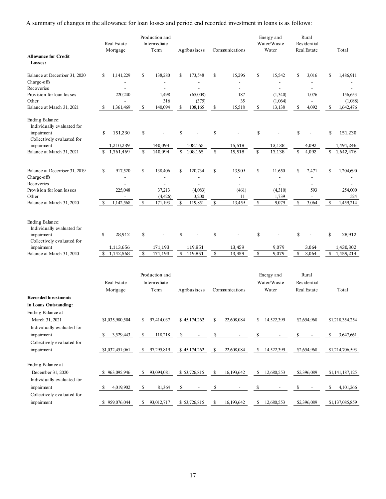A summary of changes in the allowance for loan losses and period end recorded investment in loans is as follows:

|                                                                                           | Real Estate<br>Mortgage    | Production and<br>Intermediate<br>Term | Agribusiness                   | Communications                           | Energy and<br>Water/Waste<br>Water | Rural<br>Residential<br>Real Estate                  | Total            |
|-------------------------------------------------------------------------------------------|----------------------------|----------------------------------------|--------------------------------|------------------------------------------|------------------------------------|------------------------------------------------------|------------------|
| <b>Allowance for Credit</b><br>Losses:                                                    |                            |                                        |                                |                                          |                                    |                                                      |                  |
| Balance at December 31, 2020<br>Charge-offs                                               | \$<br>1,141,229            | \$<br>138,280<br>$\overline{a}$        | \$<br>173,548                  | \$<br>15,296<br>$\overline{\phantom{0}}$ | \$<br>15,542                       | \$<br>3,016<br>$\overline{\phantom{a}}$              | \$<br>1,486,911  |
| Recoveries<br>Provision for loan losses                                                   | 220,240                    | $\overline{a}$<br>1,498                | (65,008)                       | $\overline{a}$<br>187                    | $\overline{a}$<br>(1,340)          | ÷,<br>1,076                                          | 156,653          |
| Other                                                                                     |                            | 316                                    | (375)                          | 35                                       | (1,064)                            | $\sim$                                               | (1,088)          |
| Balance at March 31, 2021                                                                 | \$<br>1,361,469            | ${\mathbb S}$<br>140,094               | \$<br>108,165                  | $\mathbb S$<br>15,518                    | $\mathbb S$<br>13,138              | \$<br>4,092                                          | \$<br>1,642,476  |
| <b>Ending Balance:</b><br>Individually evaluated for<br>impairment                        | \$<br>151,230              | \$                                     | \$                             | \$                                       | \$                                 | \$                                                   | \$<br>151,230    |
| Collectively evaluated for                                                                |                            |                                        |                                |                                          |                                    |                                                      |                  |
| impairment                                                                                | 1,210,239                  | 140,094                                | 108,165                        | 15,518                                   | 13,138                             | 4,092                                                | 1,491,246        |
| Balance at March 31, 2021                                                                 | 1,361,469<br>\$            | \$<br>140,094                          | \$<br>108,165                  | \$<br>15,518                             | \$<br>13,138                       | \$<br>4,092                                          | \$<br>1,642,476  |
| Balance at December 31, 2019                                                              | \$<br>917,520              | \$<br>138,406                          | 120,734<br>\$                  | \$<br>13,909                             | \$<br>11,650                       | \$<br>2,471                                          | \$<br>1,204,690  |
| Charge-offs<br>Recoveries                                                                 | $\overline{a}$             | $\overline{\phantom{a}}$               | $\overline{\phantom{m}}$       | $\overline{a}$                           | $\overline{a}$                     | $\overline{\phantom{a}}$<br>$\overline{\phantom{a}}$ |                  |
| Provision for loan losses                                                                 | 225,048                    | 37,213                                 | (4,083)                        | (461)                                    | (4,310)                            | 593                                                  | 254,000          |
| Other                                                                                     |                            | (4, 426)                               | 3,200                          | 11                                       | 1,739                              | $\overline{\phantom{a}}$                             | 524<br>1.459.214 |
| Balance at March 31, 2020                                                                 | 1,142,568<br>\$            | $\mathbb{S}$<br>171,193                | $\mathbb{S}$<br>119,851        | $\mathbb S$<br>13,459                    | $\mathbb{S}$<br>9,079              | \$<br>3,064                                          | \$               |
| Ending Balance:<br>Individually evaluated for<br>impairment<br>Collectively evaluated for | \$<br>28,912               | \$                                     | \$                             | \$                                       | \$                                 | \$                                                   | \$<br>28,912     |
| impairment                                                                                | 1,113,656                  | 171,193                                | 119,851                        | 13,459                                   | 9,079                              | 3,064                                                | 1,430,302        |
| Balance at March 31, 2020                                                                 | 1,142,568<br>\$            | \$<br>171,193                          | \$<br>119,851                  | \$<br>13,459                             | \$<br>9,079                        | \$<br>3,064                                          | \$<br>1,459,214  |
|                                                                                           | Real Estate<br>Mortgage    | Production and<br>Intermediate<br>Term | Agribusiness                   | Communications                           | Energy and<br>Water/Waste<br>Water | Rural<br>Residential<br>Real Estate                  | Total            |
| <b>Recorded Investments</b>                                                               |                            |                                        |                                |                                          |                                    |                                                      |                  |
| in Loans Outstanding:<br>Ending Balance at                                                |                            |                                        |                                |                                          |                                    |                                                      |                  |
| March 31, 2021<br>Individually evaluated for                                              | \$1,035,980,504            | \$<br>97,414,037                       | \$45,174,262                   | \$<br>22,608,084                         | \$<br>14,522,399                   | \$2,654,968                                          | \$1,218,354,254  |
| impairment                                                                                | 3,529,443<br>S.            | \$<br>118,218                          | S                              | \$                                       | \$                                 | \$                                                   | \$<br>3,647,661  |
| Collectively evaluated for<br>impairment                                                  | \$1,032,451,061            | \$<br>97,295,819                       | \$45,174,262                   | 22,608,084<br>-S                         | S.<br>14,522,399                   | \$2,654,968                                          | \$1,214,706,593  |
|                                                                                           |                            |                                        |                                |                                          |                                    |                                                      |                  |
| Ending Balance at<br>December 31, 2020                                                    | \$963,095,946              | \$<br>93,094,081                       | \$53,726,815                   | \$<br>16,193,642                         | \$<br>12,680,553                   | \$2,396,089                                          | \$1,141,187,125  |
| Individually evaluated for<br>impairment                                                  | 4,019,902<br><sup>\$</sup> | \$<br>81,364                           | \$<br>$\overline{\phantom{a}}$ | \$<br>$\overline{\phantom{a}}$           | \$                                 | \$                                                   | \$<br>4,101,266  |
| Collectively evaluated for<br>impairment                                                  | \$959,076,044              | \$<br>93,012,717                       | \$53,726,815                   | \$<br>16,193,642                         | $\mathbb{S}$<br>12,680,553         | \$2,396,089                                          | \$1,137,085,859  |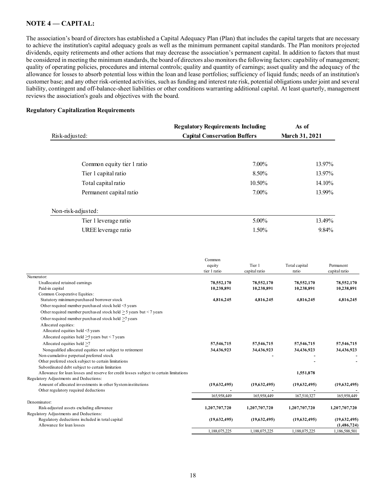## **NOTE 4** –– **CAPITAL:**

The association's board of directors has established a Capital Adequacy Plan (Plan) that includes the capital targets that are necessary to achieve the institution's capital adequacy goals as well as the minimum permanent capital standards. The Plan monitors projected dividends, equity retirements and other actions that may decrease the association's permanent capital. In addition to factors that must be considered in meeting the minimum standards, the board of directors also monitors the following factors: capability of management; quality of operating policies, procedures and internal controls; quality and quantity of earnings; asset quality and the adequacy of the allowance for losses to absorb potential loss within the loan and lease portfolios; sufficiency of liquid funds; needs of an institution's customer base; and any other risk-oriented activities, such as funding and interest rate risk, potential obligations under joint and several liability, contingent and off-balance-sheet liabilities or other conditions warranting additional capital. At least quarterly, management reviews the association's goals and objectives with the board.

#### **Regulatory Capitalization Requirements**

|                            | <b>Regulatory Requirements Including</b> | As of          |
|----------------------------|------------------------------------------|----------------|
| Risk-adjusted:             | <b>Capital Conservation Buffers</b>      | March 31, 2021 |
|                            |                                          |                |
| Common equity tier 1 ratio | $7.00\%$                                 | 13.97%         |
| Tier 1 capital ratio       | 8.50%                                    | 13.97%         |
| Total capital ratio        | 10.50%                                   | 14.10%         |
| Permanent capital ratio    | $7.00\%$                                 | 13.99%         |
| Non-risk-adjusted:         |                                          |                |
| Tier 1 leverage ratio      | $5.00\%$                                 | 13.49%         |
| UREE leverage ratio        | 1.50%                                    | 9.84%          |

|                                                                                        | Common        |               |               |               |
|----------------------------------------------------------------------------------------|---------------|---------------|---------------|---------------|
|                                                                                        | equity        | Tier 1        | Total capital | Permanent     |
|                                                                                        | tier 1 ratio  | capital ratio | ratio         | capital ratio |
| Numerator:                                                                             |               |               |               |               |
| Unallocated retained earnings                                                          | 78,552,170    | 78,552,170    | 78,552,170    | 78,552,170    |
| Paid-in capital                                                                        | 10,238,891    | 10,238,891    | 10,238,891    | 10,238,891    |
| Common Cooperative Equities:                                                           |               |               |               |               |
| Statutory minimum purchased borrower stock                                             | 4,816,245     | 4,816,245     | 4,816,245     | 4,816,245     |
| Other required member purchased stock held <5 years                                    |               |               |               |               |
| Other required member purchased stock held $>$ 5 years but < 7 years                   |               |               |               |               |
| Other required member purchased stock held >7 years                                    |               |               |               |               |
| Allocated equities:                                                                    |               |               |               |               |
| Allocated equities held <5 years                                                       |               |               |               |               |
| Allocated equities held $>5$ years but < 7 years                                       |               |               |               |               |
| Allocated equities held >7                                                             | 57,546,715    | 57,546,715    | 57,546,715    | 57,546,715    |
| Nonqualified allocated equities not subject to retirement                              | 34,436,923    | 34,436,923    | 34,436,923    | 34,436,923    |
| Non-cumulative perpetual preferred stock                                               |               |               |               |               |
| Other preferred stock subject to certain limitations                                   |               |               |               |               |
| Subordinated debt subject to certain limitation                                        |               |               |               |               |
| Allowance for loan losses and reserve for credit losses subject to certain limitations |               |               | 1,551,878     |               |
| Regulatory Adjustments and Deductions:                                                 |               |               |               |               |
| Amount of allocated investments in other System institutions                           | (19,632,495)  | (19,632,495)  | (19,632,495)  | (19,632,495)  |
| Other regulatory required deductions                                                   |               |               |               |               |
|                                                                                        | 165,958,449   | 165,958,449   | 167,510,327   | 165,958,449   |
| Denominator:                                                                           |               |               |               |               |
| Risk-adjusted assets excluding allowance                                               | 1,207,707,720 | 1,207,707,720 | 1,207,707,720 | 1,207,707,720 |
| Regulatory Adjustments and Deductions:                                                 |               |               |               |               |
| Regulatory deductions included in total capital                                        | (19,632,495)  | (19,632,495)  | (19,632,495)  | (19,632,495)  |
| Allowance for loan losses                                                              |               |               |               | (1,486,724)   |
|                                                                                        | 1,188,075,225 | 1,188,075,225 | 1,188,075,225 | 1,186,588,501 |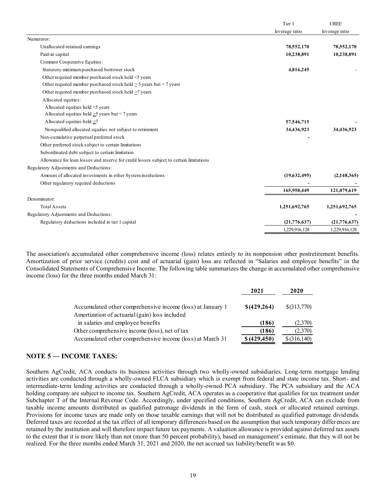|                                                                                        | Tier 1         | <b>UREE</b>    |
|----------------------------------------------------------------------------------------|----------------|----------------|
|                                                                                        | leverage ratio | leverage ratio |
| Numerator:                                                                             |                |                |
| Unallocated retained earnings                                                          | 78,552,170     | 78,552,170     |
| Paid-in capital                                                                        | 10,238,891     | 10,238,891     |
| Common Cooperative Equities:                                                           |                |                |
| Statutory minimum purchased borrower stock                                             | 4,816,245      |                |
| Other required member purchased stock held <5 years                                    |                |                |
| Other required member purchased stock held $\geq$ 5 years but < 7 years                |                |                |
| Other required member purchased stock held $\geq$ 7 years                              |                |                |
| Allocated equities:                                                                    |                |                |
| Allocated equities held <5 years                                                       |                |                |
| Allocated equities held $>5$ years but < 7 years                                       |                |                |
| Allocated equities held >7                                                             | 57,546,715     |                |
| Nonqualified allocated equities not subject to retirement                              | 34,436,923     | 34,436,923     |
| Non-cumulative perpetual preferred stock                                               |                |                |
| Other preferred stock subject to certain limitations                                   |                |                |
| Subordinated debt subject to certain limitation                                        |                |                |
| Allowance for loan losses and reserve for credit losses subject to certain limitations |                |                |
| Regulatory Adjustments and Deductions:                                                 |                |                |
| Amount of allocated investments in other System institutions                           | (19,632,495)   | (2,148,365)    |
| Other regulatory required deductions                                                   |                |                |
|                                                                                        | 165,958,449    | 121,079,619    |
| Denominator:                                                                           |                |                |
| <b>Total Assets</b>                                                                    | 1,251,692,765  | 1,251,692,765  |
| Regulatory Adjustments and Deductions:                                                 |                |                |
| Regulatory deductions included in tier 1 capital                                       | (21,776,637)   | (21, 776, 637) |
|                                                                                        | 1,229,916,128  | 1,229,916,128  |

The association's accumulated other comprehensive income (loss) relates entirely to its nonpension other postretirement benefits. Amortization of prior service (credits) cost and of actuarial (gain) loss are reflected in "Salaries and employee benefits" in the Consolidated Statements of Comprehensive Income. The following table summarizes the change in accumulated other comprehensive income (loss) for the three months ended March 31:

|                                                                                                              | 2021          | 2020          |
|--------------------------------------------------------------------------------------------------------------|---------------|---------------|
| Accumulated other comprehensive income (loss) at January 1<br>Amortization of actuarial (gain) loss included | \$(429,264)   | \$(313,770)   |
| in salaries and employee benefits                                                                            | (186)         | (2,370)       |
| Other comprehensive income (loss), net of tax                                                                | (186)         | (2,370)       |
| Accumulated other comprehensive income (loss) at March 31                                                    | \$ (429, 450) | $$$ (316,140) |

# **NOTE 5** — **INCOME TAXES:**

Southern AgCredit, ACA conducts its business activities through two wholly-owned subsidiaries. Long-term mortgage lending activities are conducted through a wholly-owned FLCA subsidiary which is exempt from federal and state income tax. Short- and intermediate-term lending activities are conducted through a wholly-owned PCA subsidiary. The PCA subsidiary and the ACA holding company are subject to income tax. Southern AgCredit, ACA operates as a cooperative that qualifies for tax treatment under Subchapter T of the Internal Revenue Code. Accordingly, under specified conditions, Southern AgCredit, ACA can exclude from taxable income amounts distributed as qualified patronage dividends in the form of cash, stock or allocated retained earnings. Provisions for income taxes are made only on those taxable earnings that will not be distributed as qualified patronage dividends. Deferred taxes are recorded at the tax effect of all temporary differences based on the assumption that such temporary differences are retained by the institution and will therefore impact future tax payments. A valuation allowance is provided against deferred tax assets to the extent that it is more likely than not (more than 50 percent probability), based on management's estimate, that they will not be realized. For the three months ended March 31, 2021 and 2020, the net accrued tax liability/benefit was \$0.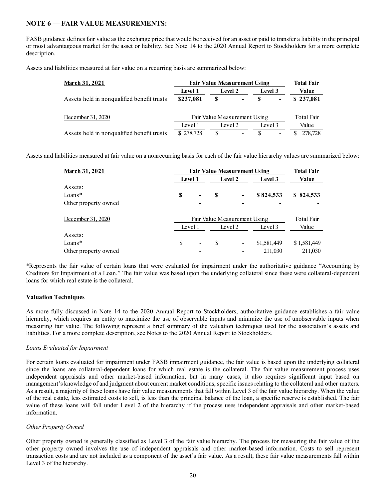## **NOTE 6** — **FAIR VALUE MEASUREMENTS:**

FASB guidance defines fair value as the exchange price that would be received for an asset or paid to transfer a liability in the principal or most advantageous market for the asset or liability. See Note 14 to the 2020 Annual Report to Stockholders for a more complete description.

Assets and liabilities measured at fair value on a recurring basis are summarized below:

| <b>March 31, 2021</b>                      | <b>Fair Value Measurement Using</b> |                |         |         |                          | <b>Total Fair</b> |  |
|--------------------------------------------|-------------------------------------|----------------|---------|---------|--------------------------|-------------------|--|
|                                            | <b>Level 1</b>                      | <b>Level 2</b> |         | Level 3 |                          | Value             |  |
| Assets held in nonqualified benefit trusts | \$237,081                           | \$             | $\sim$  | S       | $\blacksquare$           | \$237,081         |  |
| December 31, 2020                          | Fair Value Measurement Using        |                |         |         |                          | Total Fair        |  |
|                                            | Level 1                             |                | Level 2 | Level 3 |                          | Value             |  |
| Assets held in nonqualified benefit trusts | \$278,728                           | S              |         |         | $\overline{\phantom{0}}$ | 278,728           |  |

Assets and liabilities measured at fair value on a nonrecurring basis for each of the fair value hierarchy values are summarized below:

| <b>March 31, 2021</b> |   | <b>Fair Value Measurement Using</b> |         |                              |             |             |  |
|-----------------------|---|-------------------------------------|---------|------------------------------|-------------|-------------|--|
|                       |   | Level 1                             |         | <b>Level 2</b>               | Level 3     | Value       |  |
| Assets:               |   |                                     |         |                              |             |             |  |
| Loans*                | S | ۰                                   | S       | $\qquad \qquad \blacksquare$ | \$824,533   | \$824,533   |  |
| Other property owned  |   |                                     |         | $\overline{\phantom{0}}$     |             |             |  |
| December 31, 2020     |   | Total Fair                          |         |                              |             |             |  |
|                       |   | Level 1                             | Level 2 |                              | Level 3     | Value       |  |
| Assets:               |   |                                     |         |                              |             |             |  |
| $Loans*$              | S | $\overline{\phantom{a}}$            | \$      | $\overline{\phantom{a}}$     | \$1,581,449 | \$1,581,449 |  |
| Other property owned  |   |                                     |         |                              | 211,030     | 211,030     |  |

\*Represents the fair value of certain loans that were evaluated for impairment under the authoritative guidance "Accounting by Creditors for Impairment of a Loan." The fair value was based upon the underlying collateral since these were collateral-dependent loans for which real estate is the collateral.

## **Valuation Techniques**

As more fully discussed in Note 14 to the 2020 Annual Report to Stockholders, authoritative guidance establishes a fair value hierarchy, which requires an entity to maximize the use of observable inputs and minimize the use of unobservable inputs when measuring fair value. The following represent a brief summary of the valuation techniques used for the association's assets and liabilities. For a more complete description, see Notes to the 2020 Annual Report to Stockholders.

#### *Loans Evaluated for Impairment*

For certain loans evaluated for impairment under FASB impairment guidance, the fair value is based upon the underlying collateral since the loans are collateral-dependent loans for which real estate is the collateral. The fair value measurement process uses independent appraisals and other market-based information, but in many cases, it also requires significant input based on management's knowledge of and judgment about current market conditions, specific issues relating to the collateral and other matters. As a result, a majority of these loans have fair value measurements that fall within Level 3 of the fair value hierarchy. When the value of the real estate, less estimated costs to sell, is less than the principal balance of the loan, a specific reserve is established. The fair value of these loans will fall under Level 2 of the hierarchy if the process uses independent appraisals and other market-based information.

## *Other Property Owned*

Other property owned is generally classified as Level 3 of the fair value hierarchy. The process for measuring the fair value of the other property owned involves the use of independent appraisals and other market-based information. Costs to sell represent transaction costs and are not included as a component of the asset's fair value. As a result, these fair value measurements fall within Level 3 of the hierarchy.